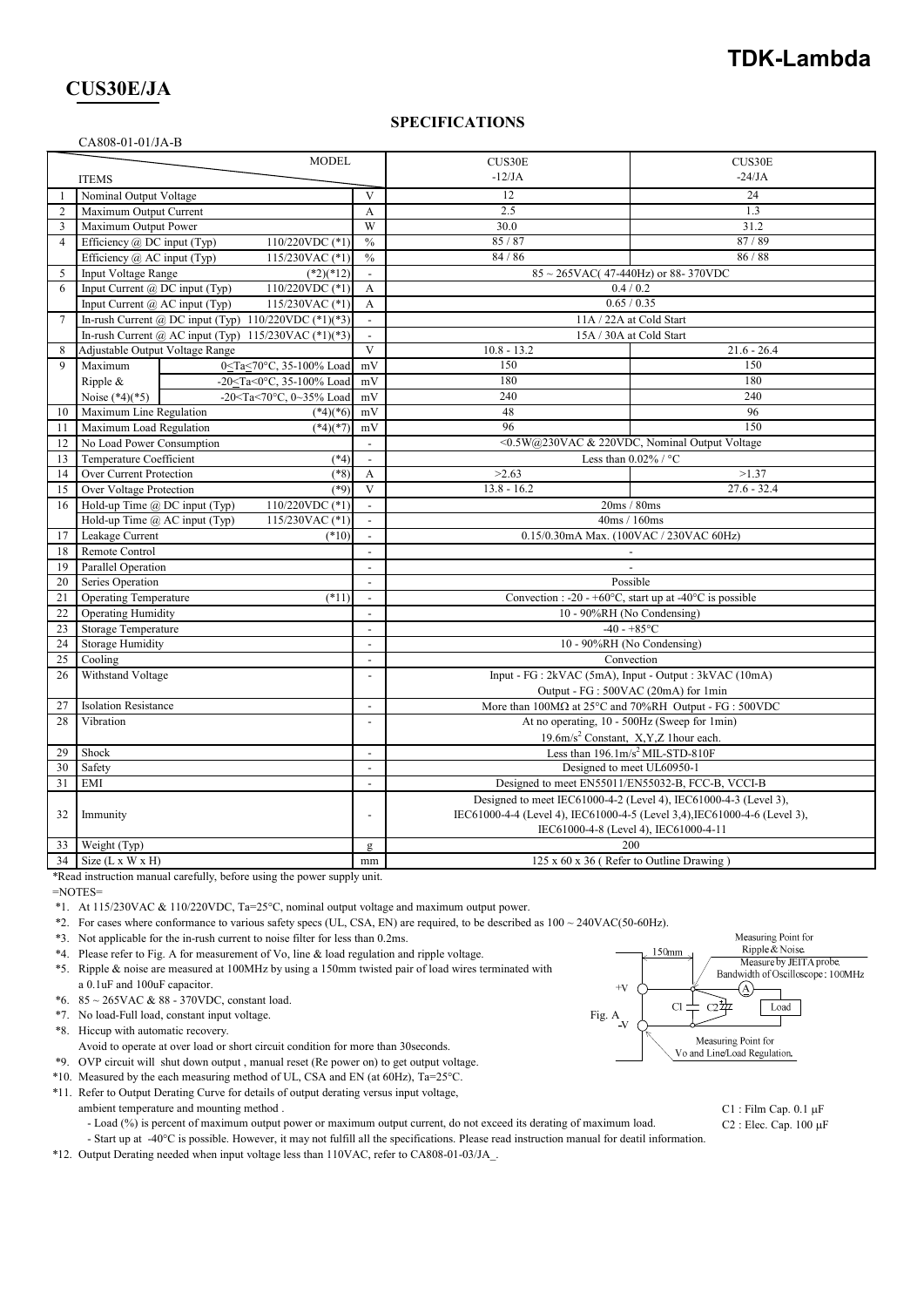## **TDK-Lambda**

## **CUS30E/JA**

#### **SPECIFICATIONS**

#### CA808-01-01/JA-B

| <b>MODEL</b>   |                                                            |                                                                                      |                          | CUS30E                                                                                                              | CUS30E                                                      |  |
|----------------|------------------------------------------------------------|--------------------------------------------------------------------------------------|--------------------------|---------------------------------------------------------------------------------------------------------------------|-------------------------------------------------------------|--|
|                | <b>ITEMS</b>                                               |                                                                                      |                          | $-12/JA$                                                                                                            | $-24/JA$                                                    |  |
| 1              | Nominal Output Voltage                                     |                                                                                      | V                        | 12                                                                                                                  | 24                                                          |  |
| 2              | Maximum Output Current                                     |                                                                                      | A                        | 2.5                                                                                                                 | 1.3                                                         |  |
| 3              | Maximum Output Power                                       |                                                                                      | W                        | 30.0                                                                                                                | 31.2                                                        |  |
| $\overline{4}$ | Efficiency $\omega$ DC input (Typ)<br>$110/220$ VDC $(*1)$ |                                                                                      | $\frac{0}{0}$            | 85/87                                                                                                               | 87/89                                                       |  |
|                | Efficiency @ AC input (Typ)                                | 115/230VAC (*1)                                                                      | $\frac{0}{0}$            | 84 / 86                                                                                                             | 86 / 88                                                     |  |
| 5              | Input Voltage Range                                        | $(*2)(*12)$                                                                          | $\mathcal{L}$            | 85~265VAC(47-440Hz) or 88-370VDC                                                                                    |                                                             |  |
| 6              | Input Current $(a)$ DC input (Typ)                         | 110/220VDC (*1)                                                                      | A                        | 0.4 / 0.2                                                                                                           |                                                             |  |
|                | Input Current $\omega$ AC input (Typ)<br>115/230VAC $(*1)$ |                                                                                      | A                        | 0.65 / 0.35                                                                                                         |                                                             |  |
| $\tau$         | In-rush Current @ DC input (Typ) $110/220$ VDC (*1)(*3)    |                                                                                      | $\mathbb{L}$             | 11A / 22A at Cold Start                                                                                             |                                                             |  |
|                | In-rush Current @ AC input (Typ) $115/230$ VAC (*1)(*3)    |                                                                                      | $\mathbf{r}$             | 15A / 30A at Cold Start                                                                                             |                                                             |  |
| 8              | Adjustable Output Voltage Range                            |                                                                                      | $\overline{\mathbf{V}}$  | $10.8 - 13.2$                                                                                                       | $21.6 - 26.4$                                               |  |
| $\mathbf{Q}$   | Maximum                                                    | 0 <ta<70°c, 35-100%="" load<="" td=""><td>mV</td><td>150</td><td>150</td></ta<70°c,> | mV                       | 150                                                                                                                 | 150                                                         |  |
|                | Ripple &                                                   | -20 <ta<0°c, 35-100%="" load<="" td=""><td>mV</td><td>180</td><td>180</td></ta<0°c,> | mV                       | 180                                                                                                                 | 180                                                         |  |
|                | Noise $(*4)(*5)$                                           | -20 <ta<70°c, 0~35%="" load<="" td=""><td>mV</td><td>240</td><td>240</td></ta<70°c,> | mV                       | 240                                                                                                                 | 240                                                         |  |
| 10             | Maximum Line Regulation                                    | $(*4)(*6)$                                                                           | mV                       | 48                                                                                                                  | 96                                                          |  |
| 11             | Maximum Load Regulation                                    | $(*4)(*7)$                                                                           | mV                       | 96                                                                                                                  | 150                                                         |  |
| 12             | No Load Power Consumption                                  |                                                                                      | $\overline{\phantom{a}}$ |                                                                                                                     | <0.5W@230VAC & 220VDC, Nominal Output Voltage               |  |
| 13             | Temperature Coefficient<br>$(*4)$                          |                                                                                      | $\overline{\phantom{a}}$ | Less than $0.02\%$ / °C                                                                                             |                                                             |  |
| 14             | Over Current Protection<br>$(*8)$                          |                                                                                      | A                        | >2.63                                                                                                               | >1.37                                                       |  |
| 15             | Over Voltage Protection<br>$(*9)$                          |                                                                                      | V                        | $13.8 - 16.2$                                                                                                       | $27.6 - 32.4$                                               |  |
| 16             | 110/220VDC (*1)<br>Hold-up Time @ DC input (Typ)           |                                                                                      |                          | 20ms / 80ms                                                                                                         |                                                             |  |
|                | Hold-up Time $(a)$ AC input (Typ)<br>115/230VAC (*1)       |                                                                                      | $\blacksquare$           | 40ms / 160ms                                                                                                        |                                                             |  |
| 17             | Leakage Current<br>$(*10)$                                 |                                                                                      | $\overline{a}$           | 0.15/0.30mA Max. (100VAC / 230VAC 60Hz)                                                                             |                                                             |  |
| 18             | Remote Control                                             |                                                                                      | $\overline{a}$           |                                                                                                                     |                                                             |  |
| 19             | Parallel Operation                                         |                                                                                      | $\overline{\phantom{a}}$ |                                                                                                                     |                                                             |  |
| 20             | Series Operation                                           |                                                                                      | $\overline{\phantom{a}}$ | Possible                                                                                                            |                                                             |  |
| 21             | $(*11)$<br><b>Operating Temperature</b>                    |                                                                                      | $\blacksquare$           | Convection : -20 - +60 $\degree$ C, start up at -40 $\degree$ C is possible                                         |                                                             |  |
| 22             | <b>Operating Humidity</b>                                  |                                                                                      | $\overline{a}$           | 10 - 90%RH (No Condensing)                                                                                          |                                                             |  |
| 23             | Storage Temperature                                        |                                                                                      | $\overline{a}$           | $-40 - +85$ °C                                                                                                      |                                                             |  |
| 24             | <b>Storage Humidity</b>                                    |                                                                                      | $\mathbf{r}$             | 10 - 90%RH (No Condensing)                                                                                          |                                                             |  |
| 25             | Cooling                                                    |                                                                                      | $\overline{\phantom{a}}$ | Convection                                                                                                          |                                                             |  |
| 26             | Withstand Voltage                                          |                                                                                      | $\overline{a}$           | Input - FG : 2kVAC (5mA), Input - Output : 3kVAC (10mA)                                                             |                                                             |  |
| 27             |                                                            |                                                                                      | $\overline{a}$           | Output - FG : 500VAC (20mA) for 1min<br>More than $100M\Omega$ at $25^{\circ}$ C and $70\%$ RH Output - FG : 500VDC |                                                             |  |
| 28             | <b>Isolation Resistance</b>                                |                                                                                      | $\frac{1}{2}$            | At no operating, 10 - 500Hz (Sweep for 1min)                                                                        |                                                             |  |
|                | Vibration                                                  |                                                                                      |                          |                                                                                                                     |                                                             |  |
| 29             | Shock                                                      |                                                                                      | $\overline{a}$           | 19.6m/s <sup>2</sup> Constant, X,Y,Z 1hour each.<br>Less than $196.1 \text{m/s}^2$ MIL-STD-810F                     |                                                             |  |
| 30             |                                                            |                                                                                      | $\overline{\phantom{a}}$ | Designed to meet UL60950-1                                                                                          |                                                             |  |
| 31             | Safety<br><b>EMI</b>                                       |                                                                                      | $\blacksquare$           | Designed to meet EN55011/EN55032-B, FCC-B, VCCI-B                                                                   |                                                             |  |
|                |                                                            |                                                                                      |                          | Designed to meet IEC61000-4-2 (Level 4), IEC61000-4-3 (Level 3),                                                    |                                                             |  |
| 32             | Immunity                                                   |                                                                                      | $\overline{\phantom{a}}$ | IEC61000-4-4 (Level 4), IEC61000-4-5 (Level 3,4), IEC61000-4-6 (Level 3),                                           |                                                             |  |
|                |                                                            |                                                                                      |                          | IEC61000-4-8 (Level 4), IEC61000-4-11                                                                               |                                                             |  |
| 33             |                                                            |                                                                                      | g                        |                                                                                                                     |                                                             |  |
|                | Weight (Typ)<br>$34$ Size (L x W x H)                      |                                                                                      | mm                       |                                                                                                                     | 200<br>$125 \times 60 \times 36$ (Refer to Outline Drawing) |  |
|                |                                                            |                                                                                      |                          |                                                                                                                     |                                                             |  |

\*Read instruction manual carefully, before using the power supply unit.

=NOTES=

\*1. At 115/230VAC & 110/220VDC, Ta=25°C, nominal output voltage and maximum output power.

\*2. For cases where conformance to various safety specs (UL, CSA, EN) are required, to be described as 100 ~ 240VAC(50-60Hz).

- \*3. Not applicable for the in-rush current to noise filter for less than 0.2ms.
- \*4. Please refer to Fig. A for measurement of Vo, line & load regulation and ripple voltage.
- \*5. Ripple & noise are measured at 100MHz by using a 150mm twisted pair of load wires terminated with a 0.1uF and 100uF capacitor.
- \*6. 85 ~ 265VAC & 88 370VDC, constant load.
- \*7. No load-Full load, constant input voltage. Fig. A
- \*8. Hiccup with automatic recovery.
- Avoid to operate at over load or short circuit condition for more than 30seconds.
- \*9. OVP circuit will shut down output , manual reset (Re power on) to get output voltage.
- \*10. Measured by the each measuring method of UL, CSA and EN (at 60Hz), Ta=25°C.
- \*11. Refer to Output Derating Curve for details of output derating versus input voltage,
	- ambient temperature and mounting method . C1 : Film Cap. 0.1  $\mu$ F
		- Load (%) is percent of maximum output power or maximum output current, do not exceed its derating of maximum load. C2 : Elec. Cap. 100 µF
- Start up at -40°C is possible. However, it may not fulfill all the specifications. Please read instruction manual for deatil information.
- \*12. Output Derating needed when input voltage less than 110VAC, refer to CA808-01-03/JA\_.



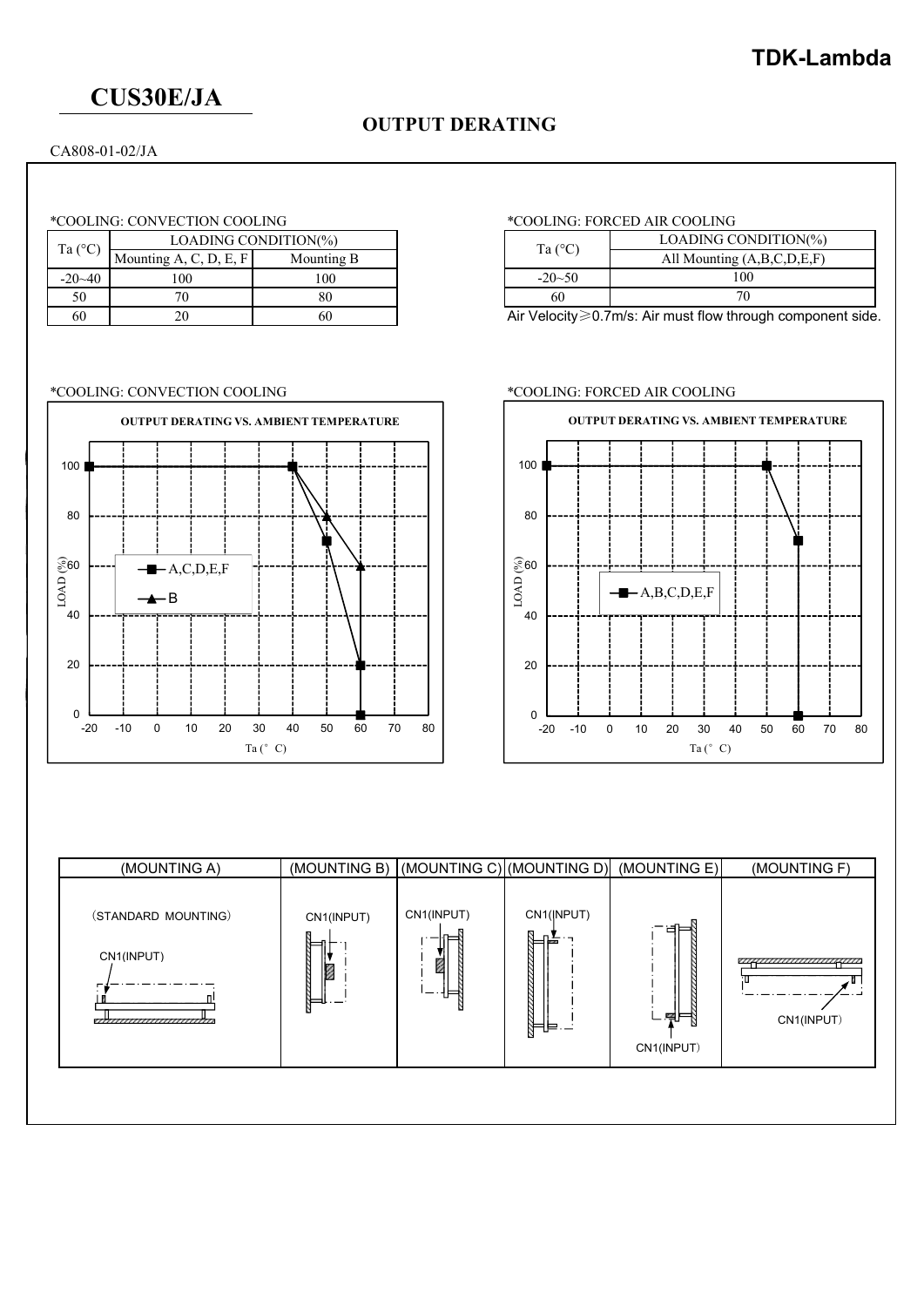# **CUS30E/JA**

## **OUTPUT DERATING**

CA808-01-02/JA

| Ta $(^{\circ}C)$ | LOADING CONDITION(%)   |            |                  |
|------------------|------------------------|------------|------------------|
|                  | Mounting A, C, D, E, F | Mounting B | Ta $(^{\circ}C)$ |
| $-20-40$         |                        | 100        | $-20 - 50$       |
| 50               |                        |            | 6U               |
| 60               |                        |            | Air Velocity     |

### \*COOLING: CONVECTION COOLING \*COOLING: FORCED AIR COOLING



### \*COOLING: CONVECTION COOLING \*COOLING: FORCED AIR COOLING

|                  | LOADING CONDITION(%)       |
|------------------|----------------------------|
| Ta $(^{\circ}C)$ | All Mounting (A,B,C,D,E,F) |
| $-20-50$         | 100                        |
| 60               |                            |

Air Velocity≥0.7m/s: Air must flow through component side.